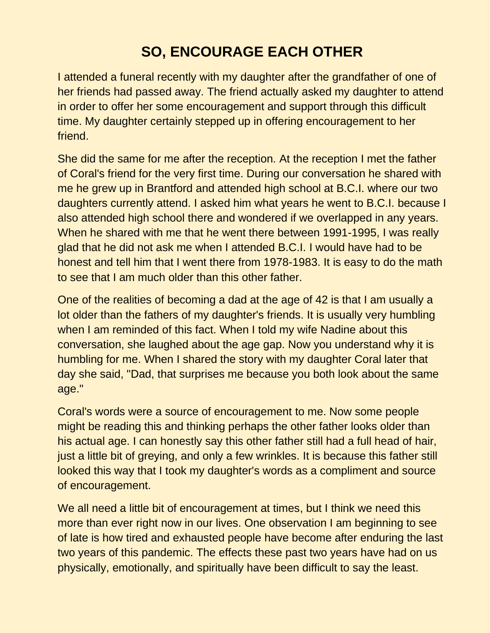## **SO, ENCOURAGE EACH OTHER**

I attended a funeral recently with my daughter after the grandfather of one of her friends had passed away. The friend actually asked my daughter to attend in order to offer her some encouragement and support through this difficult time. My daughter certainly stepped up in offering encouragement to her friend.

She did the same for me after the reception. At the reception I met the father of Coral's friend for the very first time. During our conversation he shared with me he grew up in Brantford and attended high school at B.C.I. where our two daughters currently attend. I asked him what years he went to B.C.I. because I also attended high school there and wondered if we overlapped in any years. When he shared with me that he went there between 1991-1995, I was really glad that he did not ask me when I attended B.C.I. I would have had to be honest and tell him that I went there from 1978-1983. It is easy to do the math to see that I am much older than this other father.

One of the realities of becoming a dad at the age of 42 is that I am usually a lot older than the fathers of my daughter's friends. It is usually very humbling when I am reminded of this fact. When I told my wife Nadine about this conversation, she laughed about the age gap. Now you understand why it is humbling for me. When I shared the story with my daughter Coral later that day she said, "Dad, that surprises me because you both look about the same age."

Coral's words were a source of encouragement to me. Now some people might be reading this and thinking perhaps the other father looks older than his actual age. I can honestly say this other father still had a full head of hair, just a little bit of greying, and only a few wrinkles. It is because this father still looked this way that I took my daughter's words as a compliment and source of encouragement.

We all need a little bit of encouragement at times, but I think we need this more than ever right now in our lives. One observation I am beginning to see of late is how tired and exhausted people have become after enduring the last two years of this pandemic. The effects these past two years have had on us physically, emotionally, and spiritually have been difficult to say the least.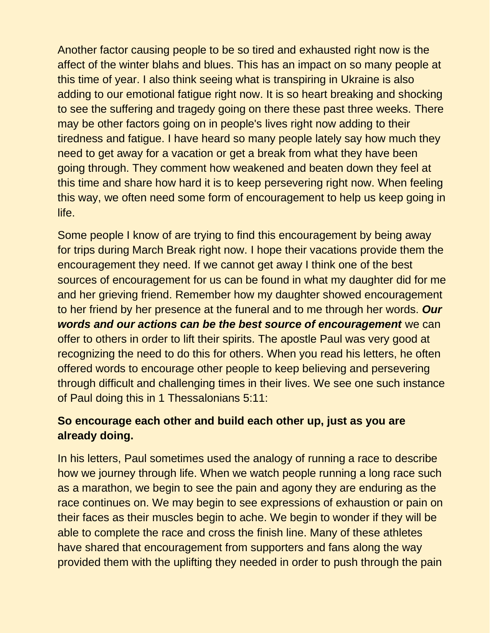Another factor causing people to be so tired and exhausted right now is the affect of the winter blahs and blues. This has an impact on so many people at this time of year. I also think seeing what is transpiring in Ukraine is also adding to our emotional fatigue right now. It is so heart breaking and shocking to see the suffering and tragedy going on there these past three weeks. There may be other factors going on in people's lives right now adding to their tiredness and fatigue. I have heard so many people lately say how much they need to get away for a vacation or get a break from what they have been going through. They comment how weakened and beaten down they feel at this time and share how hard it is to keep persevering right now. When feeling this way, we often need some form of encouragement to help us keep going in life.

Some people I know of are trying to find this encouragement by being away for trips during March Break right now. I hope their vacations provide them the encouragement they need. If we cannot get away I think one of the best sources of encouragement for us can be found in what my daughter did for me and her grieving friend. Remember how my daughter showed encouragement to her friend by her presence at the funeral and to me through her words. *Our words and our actions can be the best source of encouragement* we can offer to others in order to lift their spirits. The apostle Paul was very good at recognizing the need to do this for others. When you read his letters, he often offered words to encourage other people to keep believing and persevering through difficult and challenging times in their lives. We see one such instance of Paul doing this in 1 Thessalonians 5:11:

## **So encourage each other and build each other up, just as you are already doing.**

In his letters, Paul sometimes used the analogy of running a race to describe how we journey through life. When we watch people running a long race such as a marathon, we begin to see the pain and agony they are enduring as the race continues on. We may begin to see expressions of exhaustion or pain on their faces as their muscles begin to ache. We begin to wonder if they will be able to complete the race and cross the finish line. Many of these athletes have shared that encouragement from supporters and fans along the way provided them with the uplifting they needed in order to push through the pain